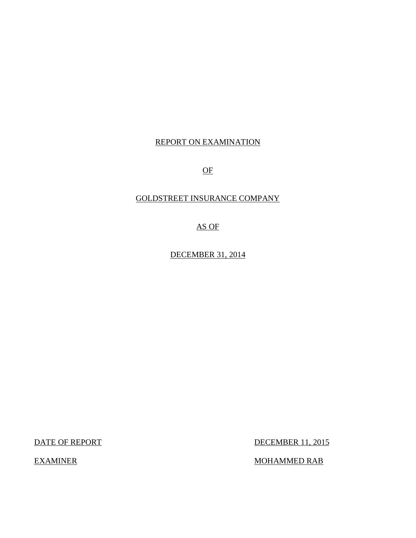## REPORT ON EXAMINATION

OF

## GOLDSTREET INSURANCE COMPANY

AS OF

DECEMBER 31, 2014

DATE OF REPORT DECEMBER 11, 2015

 $\underline{\text{MOHAMMED RAB}}$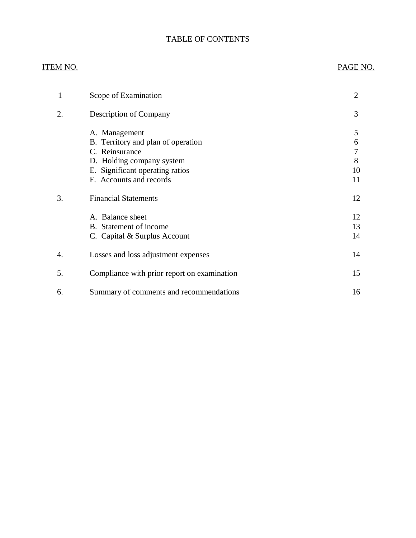## TABLE OF CONTENTS

#### ITEM NO. PAGE NO.

| 1  | Scope of Examination                                                                                                                                             | $\overline{2}$               |
|----|------------------------------------------------------------------------------------------------------------------------------------------------------------------|------------------------------|
| 2. | Description of Company                                                                                                                                           | 3                            |
|    | A. Management<br>B. Territory and plan of operation<br>C. Reinsurance<br>D. Holding company system<br>E. Significant operating ratios<br>F. Accounts and records | 5<br>6<br>7<br>8<br>10<br>11 |
| 3. | <b>Financial Statements</b>                                                                                                                                      | 12                           |
|    | A. Balance sheet<br>B. Statement of income<br>C. Capital & Surplus Account                                                                                       | 12<br>13<br>14               |
| 4. | Losses and loss adjustment expenses                                                                                                                              | 14                           |
| 5. | Compliance with prior report on examination                                                                                                                      | 15                           |
| 6. | Summary of comments and recommendations                                                                                                                          | 16                           |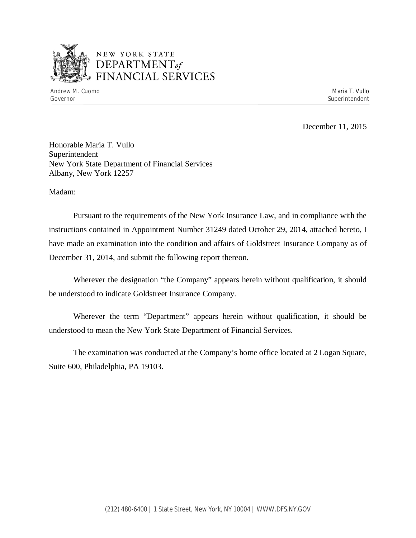

## NEW YORK STATE *DEPARTMENTof*  FINANCIAL SERVICES

Andrew M. Cuomo **Maria T. Vullo** Maria T. Vullo Maria T. Vullo Maria T. Vullo Maria T. Vullo Maria T. Vullo Governor Superintendent Superintendent Superintendent Superintendent Superintendent Superintendent Superintendent

December 11, 2015

Honorable Maria T. Vullo Superintendent New York State Department of Financial Services Albany, New York 12257

Madam:

Pursuant to the requirements of the New York Insurance Law, and in compliance with the instructions contained in Appointment Number 31249 dated October 29, 2014, attached hereto, I have made an examination into the condition and affairs of Goldstreet Insurance Company as of December 31, 2014, and submit the following report thereon.

Wherever the designation "the Company" appears herein without qualification, it should be understood to indicate Goldstreet Insurance Company.

Wherever the term "Department" appears herein without qualification, it should be understood to mean the New York State Department of Financial Services.

The examination was conducted at the Company's home office located at 2 Logan Square, Suite 600, Philadelphia, PA 19103.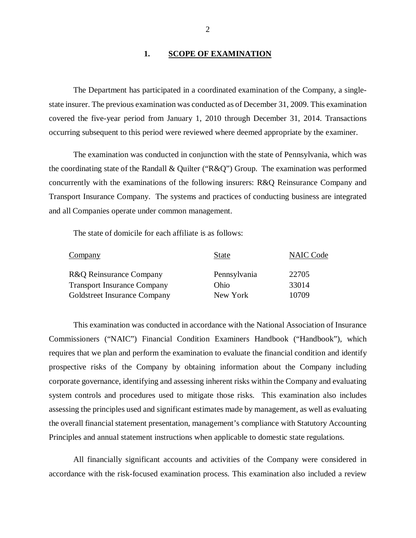#### 1. **SCOPE OF EXAMINATION**

The Department has participated in a coordinated examination of the Company, a singlestate insurer. The previous examination was conducted as of December 31, 2009. This examination covered the five-year period from January 1, 2010 through December 31, 2014. Transactions occurring subsequent to this period were reviewed where deemed appropriate by the examiner.

The examination was conducted in conjunction with the state of Pennsylvania, which was the coordinating state of the Randall & Quilter ("R&Q") Group. The examination was performed concurrently with the examinations of the following insurers: R&Q Reinsurance Company and Transport Insurance Company. The systems and practices of conducting business are integrated and all Companies operate under common management.

The state of domicile for each affiliate is as follows:

| Company                            | <b>State</b> | <b>NAIC Code</b> |
|------------------------------------|--------------|------------------|
| R&Q Reinsurance Company            | Pennsylvania | 22705            |
| <b>Transport Insurance Company</b> | Ohio         | 33014            |
| Goldstreet Insurance Company       | New York     | 10709            |

This examination was conducted in accordance with the National Association of Insurance Commissioners ("NAIC") Financial Condition Examiners Handbook ("Handbook"), which requires that we plan and perform the examination to evaluate the financial condition and identify prospective risks of the Company by obtaining information about the Company including corporate governance, identifying and assessing inherent risks within the Company and evaluating system controls and procedures used to mitigate those risks. This examination also includes assessing the principles used and significant estimates made by management, as well as evaluating the overall financial statement presentation, management's compliance with Statutory Accounting Principles and annual statement instructions when applicable to domestic state regulations.

All financially significant accounts and activities of the Company were considered in accordance with the risk-focused examination process. This examination also included a review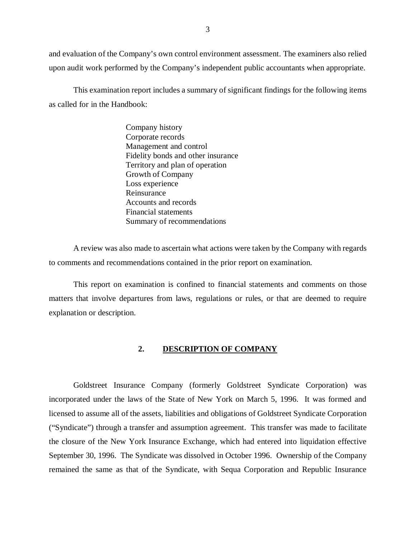<span id="page-4-0"></span>and evaluation of the Company's own control environment assessment. The examiners also relied upon audit work performed by the Company's independent public accountants when appropriate.

This examination report includes a summary of significant findings for the following items as called for in the Handbook:

> Company history Corporate records Management and control Fidelity bonds and other insurance Territory and plan of operation Growth of Company Loss experience Reinsurance Accounts and records Financial statements Summary of recommendations

A review was also made to ascertain what actions were taken by the Company with regards to comments and recommendations contained in the prior report on examination.

This report on examination is confined to financial statements and comments on those matters that involve departures from laws, regulations or rules, or that are deemed to require explanation or description.

#### **2. DESCRIPTION OF COMPANY**

Goldstreet Insurance Company (formerly Goldstreet Syndicate Corporation) was incorporated under the laws of the State of New York on March 5, 1996. It was formed and licensed to assume all of the assets, liabilities and obligations of Goldstreet Syndicate Corporation ("Syndicate") through a transfer and assumption agreement. This transfer was made to facilitate the closure of the New York Insurance Exchange, which had entered into liquidation effective September 30, 1996. The Syndicate was dissolved in October 1996. Ownership of the Company remained the same as that of the Syndicate, with Sequa Corporation and Republic Insurance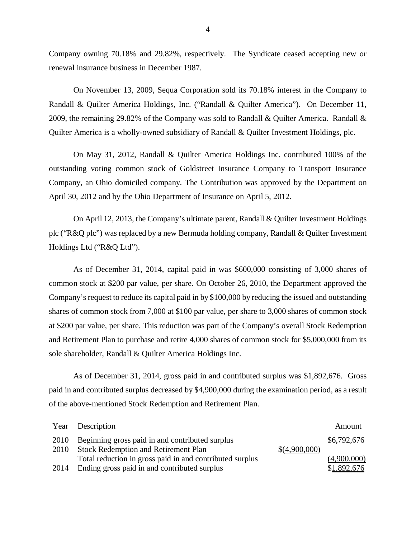Company owning 70.18% and 29.82%, respectively. The Syndicate ceased accepting new or renewal insurance business in December 1987.

On November 13, 2009, Sequa Corporation sold its 70.18% interest in the Company to Randall & Quilter America Holdings, Inc. ("Randall & Quilter America"). On December 11, 2009, the remaining 29.82% of the Company was sold to Randall & Quilter America. Randall & Quilter America is a wholly-owned subsidiary of Randall & Quilter Investment Holdings, plc.

On May 31, 2012, Randall & Quilter America Holdings Inc. contributed 100% of the outstanding voting common stock of Goldstreet Insurance Company to Transport Insurance Company, an Ohio domiciled company. The Contribution was approved by the Department on April 30, 2012 and by the Ohio Department of Insurance on April 5, 2012.

On April 12, 2013, the Company's ultimate parent, Randall & Quilter Investment Holdings plc ("R&Q plc") was replaced by a new Bermuda holding company, Randall & Quilter Investment Holdings Ltd ("R&Q Ltd").

As of December 31, 2014, capital paid in was \$600,000 consisting of 3,000 shares of common stock at \$200 par value, per share. On October 26, 2010, the Department approved the Company's request to reduce its capital paid in by \$100,000 by reducing the issued and outstanding shares of common stock from 7,000 at \$100 par value, per share to 3,000 shares of common stock at \$200 par value, per share. This reduction was part of the Company's overall Stock Redemption and Retirement Plan to purchase and retire 4,000 shares of common stock for \$5,000,000 from its sole shareholder, Randall & Quilter America Holdings Inc.

As of December 31, 2014, gross paid in and contributed surplus was \$1,892,676. Gross paid in and contributed surplus decreased by \$4,900,000 during the examination period, as a result of the above-mentioned Stock Redemption and Retirement Plan.

|      | Year Description                                         |               | Amount      |
|------|----------------------------------------------------------|---------------|-------------|
| 2010 | Beginning gross paid in and contributed surplus          |               | \$6,792,676 |
| 2010 | <b>Stock Redemption and Retirement Plan</b>              | \$(4,900,000) |             |
|      | Total reduction in gross paid in and contributed surplus |               | (4,900,000) |
| 2014 | Ending gross paid in and contributed surplus             |               | \$1.892,676 |

4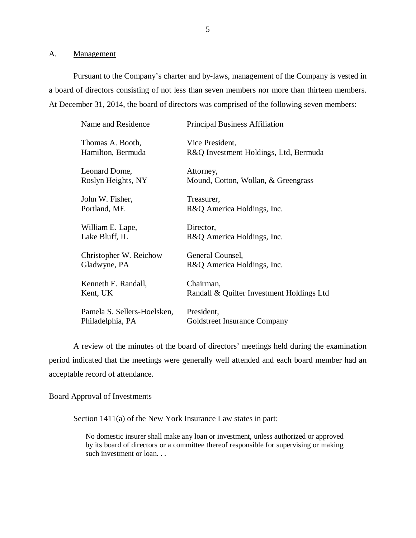#### A. Management

Pursuant to the Company's charter and by-laws, management of the Company is vested in a board of directors consisting of not less than seven members nor more than thirteen members. At December 31, 2014, the board of directors was comprised of the following seven members:

| <b>Name and Residence</b>   | <b>Principal Business Affiliation</b>     |
|-----------------------------|-------------------------------------------|
| Thomas A. Booth,            | Vice President,                           |
| Hamilton, Bermuda           | R&Q Investment Holdings, Ltd, Bermuda     |
| Leonard Dome,               | Attorney,                                 |
| Roslyn Heights, NY          | Mound, Cotton, Wollan, & Greengrass       |
| John W. Fisher,             | Treasurer,                                |
| Portland, ME                | R&Q America Holdings, Inc.                |
| William E. Lape,            | Director,                                 |
| Lake Bluff, IL              | R&Q America Holdings, Inc.                |
| Christopher W. Reichow      | General Counsel,                          |
| Gladwyne, PA                | R&Q America Holdings, Inc.                |
| Kenneth E. Randall,         | Chairman,                                 |
| Kent, UK                    | Randall & Quilter Investment Holdings Ltd |
| Pamela S. Sellers-Hoelsken, | President,                                |
| Philadelphia, PA            | Goldstreet Insurance Company              |

A review of the minutes of the board of directors' meetings held during the examination period indicated that the meetings were generally well attended and each board member had an acceptable record of attendance.

#### Board Approval of Investments

Section 1411(a) of the New York Insurance Law states in part:

No domestic insurer shall make any loan or investment, unless authorized or approved by its board of directors or a committee thereof responsible for supervising or making such investment or loan. . .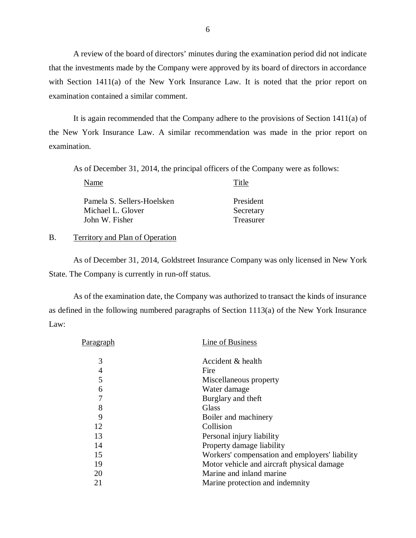A review of the board of directors' minutes during the examination period did not indicate that the investments made by the Company were approved by its board of directors in accordance with Section 1411(a) of the New York Insurance Law. It is noted that the prior report on examination contained a similar comment.

It is again recommended that the Company adhere to the provisions of Section 1411(a) of the New York Insurance Law. A similar recommendation was made in the prior report on examination.

As of December 31, 2014, the principal officers of the Company were as follows:

| Name                                                              | Title                               |
|-------------------------------------------------------------------|-------------------------------------|
| Pamela S. Sellers-Hoelsken<br>Michael L. Glover<br>John W. Fisher | President<br>Secretary<br>Treasurer |
|                                                                   |                                     |

#### B. Territory and Plan of Operation

As of December 31, 2014, Goldstreet Insurance Company was only licensed in New York State. The Company is currently in run-off status.

As of the examination date, the Company was authorized to transact the kinds of insurance as defined in the following numbered paragraphs of Section 1113(a) of the New York Insurance Law:

| Paragraph | Line of Business                               |
|-----------|------------------------------------------------|
| 3         | Accident & health                              |
| 4         | Fire                                           |
| 5         | Miscellaneous property                         |
| 6         | Water damage                                   |
| 7         | Burglary and theft                             |
| 8         | Glass                                          |
| 9         | Boiler and machinery                           |
| 12        | Collision                                      |
| 13        | Personal injury liability                      |
| 14        | Property damage liability                      |
| 15        | Workers' compensation and employers' liability |
| 19        | Motor vehicle and aircraft physical damage     |
| 20        | Marine and inland marine                       |
| 21        | Marine protection and indemnity                |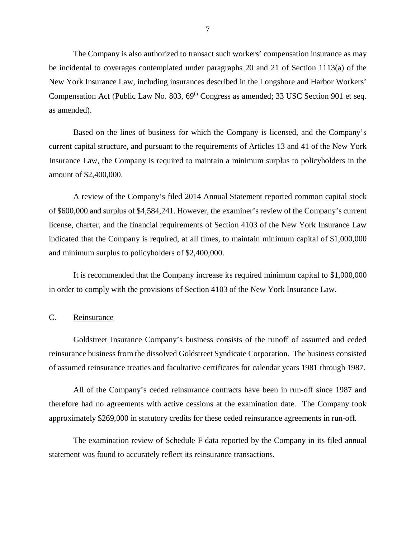<span id="page-8-0"></span>The Company is also authorized to transact such workers' compensation insurance as may be incidental to coverages contemplated under paragraphs 20 and 21 of Section 1113(a) of the New York Insurance Law, including insurances described in the Longshore and Harbor Workers' Compensation Act (Public Law No. 803, 69<sup>th</sup> Congress as amended; 33 USC Section 901 et seq. as amended).

Based on the lines of business for which the Company is licensed, and the Company's current capital structure, and pursuant to the requirements of Articles 13 and 41 of the New York Insurance Law, the Company is required to maintain a minimum surplus to policyholders in the amount of \$2,400,000.

A review of the Company's filed 2014 Annual Statement reported common capital stock of \$600,000 and surplus of \$4,584,241. However, the examiner's review of the Company's current license, charter, and the financial requirements of Section 4103 of the New York Insurance Law indicated that the Company is required, at all times, to maintain minimum capital of \$1,000,000 and minimum surplus to policyholders of \$2,400,000.

It is recommended that the Company increase its required minimum capital to \$1,000,000 in order to comply with the provisions of Section 4103 of the New York Insurance Law.

#### C. Reinsurance

Goldstreet Insurance Company's business consists of the runoff of assumed and ceded reinsurance business from the dissolved Goldstreet Syndicate Corporation. The business consisted of assumed reinsurance treaties and facultative certificates for calendar years 1981 through 1987.

All of the Company's ceded reinsurance contracts have been in run-off since 1987 and therefore had no agreements with active cessions at the examination date. The Company took approximately \$269,000 in statutory credits for these ceded reinsurance agreements in run-off.

The examination review of Schedule F data reported by the Company in its filed annual statement was found to accurately reflect its reinsurance transactions.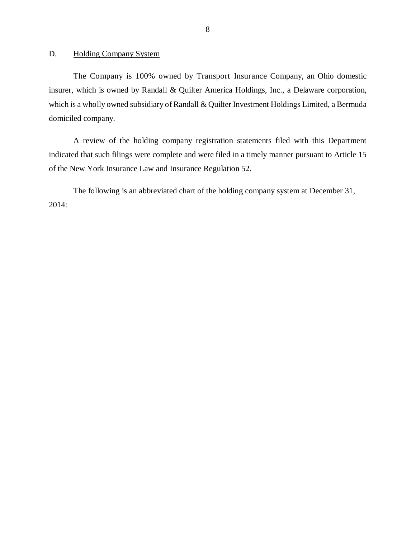<span id="page-9-0"></span>D. Holding Company System

The Company is 100% owned by Transport Insurance Company, an Ohio domestic insurer, which is owned by Randall & Quilter America Holdings, Inc., a Delaware corporation, which is a wholly owned subsidiary of Randall & Quilter Investment Holdings Limited, a Bermuda domiciled company.

A review of the holding company registration statements filed with this Department indicated that such filings were complete and were filed in a timely manner pursuant to Article 15 of the New York Insurance Law and Insurance Regulation 52.

The following is an abbreviated chart of the holding company system at December 31, 2014: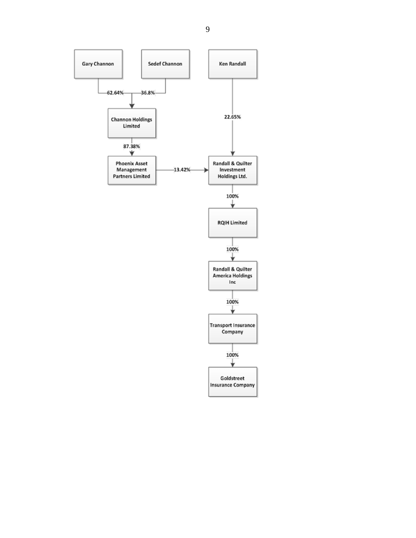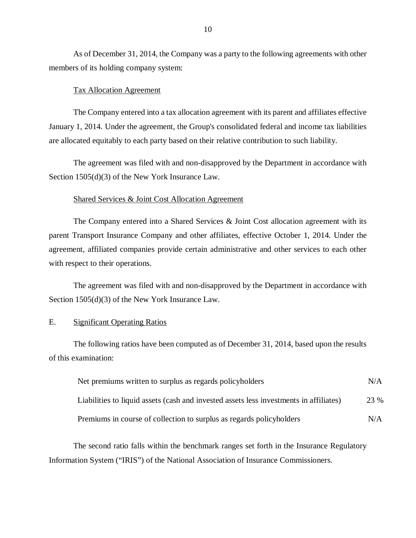As of December 31, 2014, the Company was a party to the following agreements with other members of its holding company system:

#### Tax Allocation Agreement

The Company entered into a tax allocation agreement with its parent and affiliates effective January 1, 2014. Under the agreement, the Group's consolidated federal and income tax liabilities are allocated equitably to each party based on their relative contribution to such liability.

The agreement was filed with and non-disapproved by the Department in accordance with Section 1505(d)(3) of the New York Insurance Law.

#### Shared Services & Joint Cost Allocation Agreement

The Company entered into a Shared Services & Joint Cost allocation agreement with its parent Transport Insurance Company and other affiliates, effective October 1, 2014. Under the agreement, affiliated companies provide certain administrative and other services to each other with respect to their operations.

The agreement was filed with and non-disapproved by the Department in accordance with Section 1505(d)(3) of the New York Insurance Law.

#### E. Significant Operating Ratios

The following ratios have been computed as of December 31, 2014, based upon the results of this examination:

| Net premiums written to surplus as regards policyholders                               | N/A  |
|----------------------------------------------------------------------------------------|------|
| Liabilities to liquid assets (cash and invested assets less investments in affiliates) | 23 % |
| Premiums in course of collection to surplus as regards policyholders                   | N/A  |

The second ratio falls within the benchmark ranges set forth in the Insurance Regulatory Information System ("IRIS") of the National Association of Insurance Commissioners.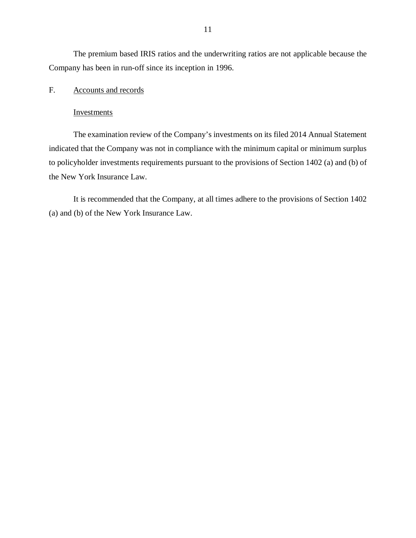<span id="page-12-0"></span>The premium based IRIS ratios and the underwriting ratios are not applicable because the Company has been in run-off since its inception in 1996.

#### F. Accounts and records

#### Investments

The examination review of the Company's investments on its filed 2014 Annual Statement indicated that the Company was not in compliance with the minimum capital or minimum surplus to policyholder investments requirements pursuant to the provisions of Section 1402 (a) and (b) of the New York Insurance Law.

It is recommended that the Company, at all times adhere to the provisions of Section 1402 (a) and (b) of the New York Insurance Law.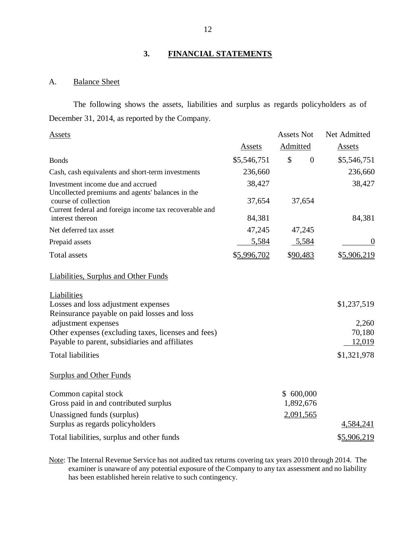## **3. FINANCIAL STATEMENTS**

#### A. Balance Sheet

The following shows the assets, liabilities and surplus as regards policyholders as of December 31, 2014, as reported by the Company.

| Assets                                                                                                                             |               | <b>Assets Not</b>               | Net Admitted  |
|------------------------------------------------------------------------------------------------------------------------------------|---------------|---------------------------------|---------------|
|                                                                                                                                    | <b>Assets</b> | <b>Admitted</b>                 | <b>Assets</b> |
| <b>Bonds</b>                                                                                                                       | \$5,546,751   | $\mathcal{S}$<br>$\overline{0}$ | \$5,546,751   |
| Cash, cash equivalents and short-term investments                                                                                  | 236,660       |                                 | 236,660       |
| Investment income due and accrued                                                                                                  | 38,427        |                                 | 38,427        |
| Uncollected premiums and agents' balances in the<br>course of collection<br>Current federal and foreign income tax recoverable and | 37,654        | 37,654                          |               |
| interest thereon                                                                                                                   | 84,381        |                                 | 84,381        |
| Net deferred tax asset                                                                                                             | 47,245        | 47,245                          |               |
| Prepaid assets                                                                                                                     | 5,584         | 5,584                           | $\theta$      |
| <b>Total assets</b>                                                                                                                | \$5,996,702   | \$90,483                        | \$5,906,219   |
| <b>Liabilities, Surplus and Other Funds</b>                                                                                        |               |                                 |               |
| Liabilities                                                                                                                        |               |                                 |               |
| Losses and loss adjustment expenses<br>Reinsurance payable on paid losses and loss                                                 |               |                                 | \$1,237,519   |
| adjustment expenses                                                                                                                |               |                                 | 2,260         |
| Other expenses (excluding taxes, licenses and fees)                                                                                |               |                                 | 70,180        |
| Payable to parent, subsidiaries and affiliates                                                                                     |               |                                 | 12,019        |
| <b>Total liabilities</b>                                                                                                           |               |                                 | \$1,321,978   |
| <b>Surplus and Other Funds</b>                                                                                                     |               |                                 |               |
| Common capital stock                                                                                                               |               | \$600,000                       |               |
| Gross paid in and contributed surplus                                                                                              |               | 1,892,676                       |               |
| Unassigned funds (surplus)                                                                                                         |               | 2,091,565                       |               |
| Surplus as regards policyholders                                                                                                   |               |                                 | 4,584,241     |
| Total liabilities, surplus and other funds                                                                                         |               |                                 | \$5,906,219   |

Note: The Internal Revenue Service has not audited tax returns covering tax years 2010 through 2014. The examiner is unaware of any potential exposure of the Company to any tax assessment and no liability has been established herein relative to such contingency.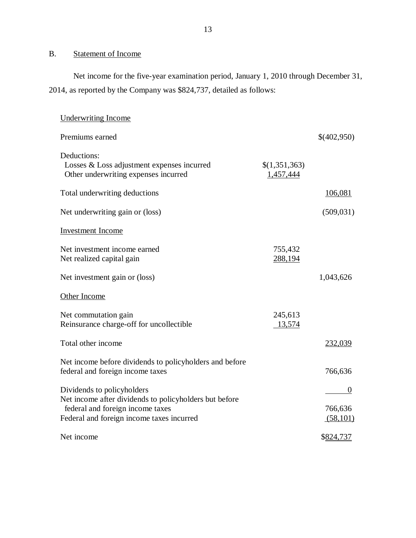## B. Statement of Income

Net income for the five-year examination period, January 1, 2010 through December 31, 2014, as reported by the Company was \$824,737, detailed as follows:

| <b>Underwriting Income</b>                                                                                                              |                            |                     |
|-----------------------------------------------------------------------------------------------------------------------------------------|----------------------------|---------------------|
| Premiums earned                                                                                                                         |                            | \$(402,950)         |
| Deductions:<br>Losses & Loss adjustment expenses incurred<br>Other underwriting expenses incurred                                       | \$(1,351,363)<br>1,457,444 |                     |
| Total underwriting deductions                                                                                                           |                            | 106,081             |
| Net underwriting gain or (loss)                                                                                                         |                            | (509, 031)          |
| <b>Investment</b> Income                                                                                                                |                            |                     |
| Net investment income earned<br>Net realized capital gain                                                                               | 755,432<br>288,194         |                     |
| Net investment gain or (loss)                                                                                                           |                            | 1,043,626           |
| Other Income                                                                                                                            |                            |                     |
| Net commutation gain<br>Reinsurance charge-off for uncollectible                                                                        | 245,613<br>13,574          |                     |
| Total other income                                                                                                                      |                            | 232,039             |
| Net income before dividends to policyholders and before<br>federal and foreign income taxes                                             |                            | 766,636             |
| Dividends to policyholders                                                                                                              |                            | $\theta$            |
| Net income after dividends to policyholders but before<br>federal and foreign income taxes<br>Federal and foreign income taxes incurred |                            | 766,636<br>(58,101) |
| Net income                                                                                                                              |                            | \$824,737           |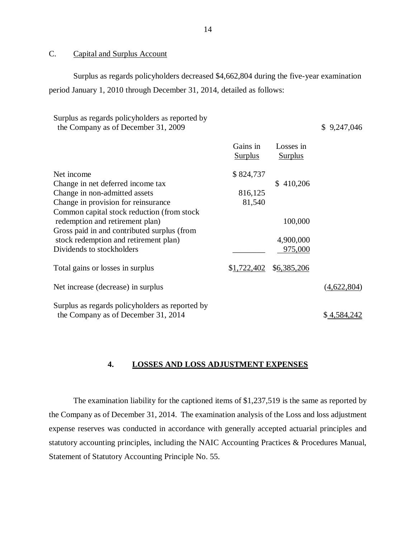### C. Capital and Surplus Account

Surplus as regards policyholders decreased \$4,662,804 during the five-year examination period January 1, 2010 through December 31, 2014, detailed as follows:

#### Surplus as regards policyholders as reported by the Company as of December 31, 2009  $\frac{1}{2}$  \$ 9,247,046

Gains in Losses in

|                                                 | <b>Surplus</b> | Surplus     |                    |
|-------------------------------------------------|----------------|-------------|--------------------|
| Net income                                      | \$824,737      |             |                    |
| Change in net deferred income tax               |                | \$410,206   |                    |
| Change in non-admitted assets                   | 816,125        |             |                    |
| Change in provision for reinsurance             | 81,540         |             |                    |
| Common capital stock reduction (from stock)     |                |             |                    |
| redemption and retirement plan)                 |                | 100,000     |                    |
| Gross paid in and contributed surplus (from     |                |             |                    |
| stock redemption and retirement plan)           |                | 4,900,000   |                    |
| Dividends to stockholders                       |                | 975,000     |                    |
| Total gains or losses in surplus                | \$1,722,402    | \$6,385,206 |                    |
| Net increase (decrease) in surplus              |                |             | (4,622,804)        |
| Surplus as regards policyholders as reported by |                |             |                    |
| the Company as of December 31, 2014             |                |             | <u>\$4,584,242</u> |

#### **4. LOSSES AND LOSS ADJUSTMENT EXPENSES**

The examination liability for the captioned items of \$1,237,519 is the same as reported by the Company as of December 31, 2014. The examination analysis of the Loss and loss adjustment expense reserves was conducted in accordance with generally accepted actuarial principles and statutory accounting principles, including the NAIC Accounting Practices & Procedures Manual, Statement of Statutory Accounting Principle No. 55.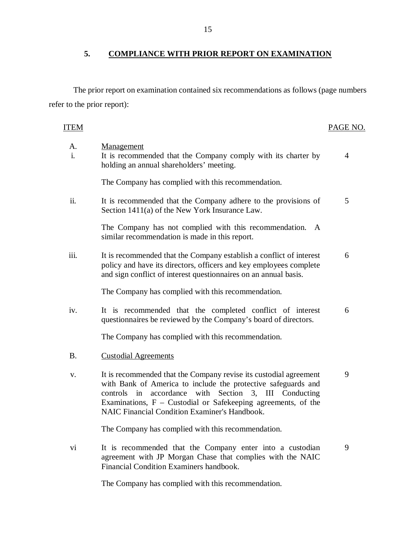## **5. COMPLIANCE WITH PRIOR REPORT ON EXAMINATION**

The prior report on examination contained six recommendations as follows (page numbers refer to the prior report):

| Management<br>A.<br>i.<br>It is recommended that the Company comply with its charter by<br>4<br>holding an annual shareholders' meeting.<br>The Company has complied with this recommendation.<br>ii.<br>It is recommended that the Company adhere to the provisions of<br>5<br>Section 1411(a) of the New York Insurance Law.<br>The Company has not complied with this recommendation. A<br>similar recommendation is made in this report.<br>iii.<br>It is recommended that the Company establish a conflict of interest<br>6<br>policy and have its directors, officers and key employees complete<br>and sign conflict of interest questionnaires on an annual basis.<br>The Company has complied with this recommendation.<br>It is recommended that the completed conflict of interest<br>6<br>iv.<br>questionnaires be reviewed by the Company's board of directors.<br>The Company has complied with this recommendation.<br>Β.<br><b>Custodial Agreements</b><br>9<br>It is recommended that the Company revise its custodial agreement<br>v.<br>with Bank of America to include the protective safeguards and<br>controls in accordance with Section 3, III Conducting<br>Examinations, $F -$ Custodial or Safekeeping agreements, of the<br>NAIC Financial Condition Examiner's Handbook.<br>The Company has complied with this recommendation.<br>It is recommended that the Company enter into a custodian<br>vi<br>9<br>agreement with JP Morgan Chase that complies with the NAIC<br>Financial Condition Examiners handbook. | <b>ITEM</b> | PAGE NO. |
|----------------------------------------------------------------------------------------------------------------------------------------------------------------------------------------------------------------------------------------------------------------------------------------------------------------------------------------------------------------------------------------------------------------------------------------------------------------------------------------------------------------------------------------------------------------------------------------------------------------------------------------------------------------------------------------------------------------------------------------------------------------------------------------------------------------------------------------------------------------------------------------------------------------------------------------------------------------------------------------------------------------------------------------------------------------------------------------------------------------------------------------------------------------------------------------------------------------------------------------------------------------------------------------------------------------------------------------------------------------------------------------------------------------------------------------------------------------------------------------------------------------------------------------------|-------------|----------|
|                                                                                                                                                                                                                                                                                                                                                                                                                                                                                                                                                                                                                                                                                                                                                                                                                                                                                                                                                                                                                                                                                                                                                                                                                                                                                                                                                                                                                                                                                                                                              |             |          |
|                                                                                                                                                                                                                                                                                                                                                                                                                                                                                                                                                                                                                                                                                                                                                                                                                                                                                                                                                                                                                                                                                                                                                                                                                                                                                                                                                                                                                                                                                                                                              |             |          |
|                                                                                                                                                                                                                                                                                                                                                                                                                                                                                                                                                                                                                                                                                                                                                                                                                                                                                                                                                                                                                                                                                                                                                                                                                                                                                                                                                                                                                                                                                                                                              |             |          |
|                                                                                                                                                                                                                                                                                                                                                                                                                                                                                                                                                                                                                                                                                                                                                                                                                                                                                                                                                                                                                                                                                                                                                                                                                                                                                                                                                                                                                                                                                                                                              |             |          |
|                                                                                                                                                                                                                                                                                                                                                                                                                                                                                                                                                                                                                                                                                                                                                                                                                                                                                                                                                                                                                                                                                                                                                                                                                                                                                                                                                                                                                                                                                                                                              |             |          |
|                                                                                                                                                                                                                                                                                                                                                                                                                                                                                                                                                                                                                                                                                                                                                                                                                                                                                                                                                                                                                                                                                                                                                                                                                                                                                                                                                                                                                                                                                                                                              |             |          |
|                                                                                                                                                                                                                                                                                                                                                                                                                                                                                                                                                                                                                                                                                                                                                                                                                                                                                                                                                                                                                                                                                                                                                                                                                                                                                                                                                                                                                                                                                                                                              |             |          |
|                                                                                                                                                                                                                                                                                                                                                                                                                                                                                                                                                                                                                                                                                                                                                                                                                                                                                                                                                                                                                                                                                                                                                                                                                                                                                                                                                                                                                                                                                                                                              |             |          |
|                                                                                                                                                                                                                                                                                                                                                                                                                                                                                                                                                                                                                                                                                                                                                                                                                                                                                                                                                                                                                                                                                                                                                                                                                                                                                                                                                                                                                                                                                                                                              |             |          |
|                                                                                                                                                                                                                                                                                                                                                                                                                                                                                                                                                                                                                                                                                                                                                                                                                                                                                                                                                                                                                                                                                                                                                                                                                                                                                                                                                                                                                                                                                                                                              |             |          |
|                                                                                                                                                                                                                                                                                                                                                                                                                                                                                                                                                                                                                                                                                                                                                                                                                                                                                                                                                                                                                                                                                                                                                                                                                                                                                                                                                                                                                                                                                                                                              |             |          |
|                                                                                                                                                                                                                                                                                                                                                                                                                                                                                                                                                                                                                                                                                                                                                                                                                                                                                                                                                                                                                                                                                                                                                                                                                                                                                                                                                                                                                                                                                                                                              |             |          |

The Company has complied with this recommendation.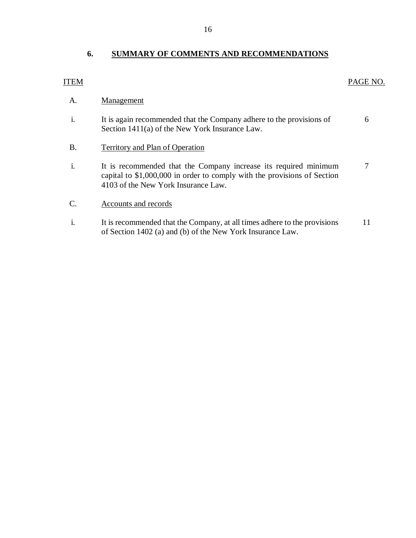#### <span id="page-17-0"></span>**6. SUMMARY OF COMMENTS AND RECOMMENDATIONS**

#### PAGE NO.

### ITEM

#### A. **Management**

- i. It is again recommended that the Company adhere to the provisions of Section 1411(a) of the New York Insurance Law. 6
- B. Territory and Plan of Operation
- i. It is recommended that the Company increase its required minimum capital to \$1,000,000 in order to comply with the provisions of Section 4103 of the New York Insurance Law. 7
- C. Accounts and records
- i. It is recommended that the Company, at all times adhere to the provisions of Section 1402 (a) and (b) of the New York Insurance Law. 11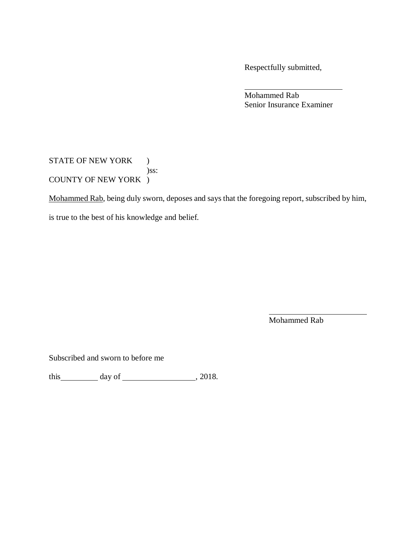Respectfully submitted,

Mohammed Rab Senior Insurance Examiner

STATE OF NEW YORK ) )ss: COUNTY OF NEW YORK )

Mohammed Rab, being duly sworn, deposes and says that the foregoing report, subscribed by him,

is true to the best of his knowledge and belief.

Mohammed Rab

Subscribed and sworn to before me

this  $\_\_\_\_\_$  day of  $\_\_\_\_\_\_$ , 2018.